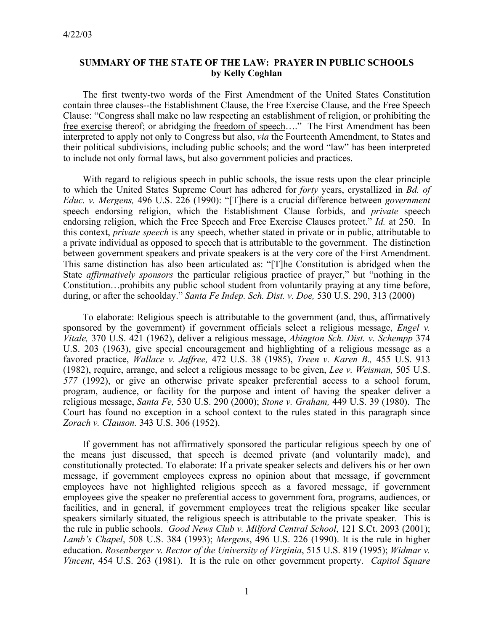## **SUMMARY OF THE STATE OF THE LAW: PRAYER IN PUBLIC SCHOOLS by Kelly Coghlan**

The first twenty-two words of the First Amendment of the United States Constitution contain three clauses--the Establishment Clause, the Free Exercise Clause, and the Free Speech Clause: "Congress shall make no law respecting an establishment of religion, or prohibiting the free exercise thereof; or abridging the <u>freedom of speech</u>...." The First Amendment has been interpreted to apply not only to Congress but also, *via* the Fourteenth Amendment, to States and their political subdivisions, including public schools; and the word "law" has been interpreted to include not only formal laws, but also government policies and practices.

With regard to religious speech in public schools, the issue rests upon the clear principle to which the United States Supreme Court has adhered for *forty* years, crystallized in *Bd. of Educ. v. Mergens,* 496 U.S. 226 (1990): "[T]here is a crucial difference between *government*  speech endorsing religion, which the Establishment Clause forbids, and *private* speech endorsing religion, which the Free Speech and Free Exercise Clauses protect." *Id.* at 250. In this context, *private speech* is any speech, whether stated in private or in public, attributable to a private individual as opposed to speech that is attributable to the government. The distinction between government speakers and private speakers is at the very core of the First Amendment. This same distinction has also been articulated as: "[T]he Constitution is abridged when the State *affirmatively sponsors* the particular religious practice of prayer," but "nothing in the Constitution…prohibits any public school student from voluntarily praying at any time before, during, or after the schoolday." *Santa Fe Indep. Sch. Dist. v. Doe,* 530 U.S. 290, 313 (2000)

To elaborate: Religious speech is attributable to the government (and, thus, affirmatively sponsored by the government) if government officials select a religious message, *Engel v. Vitale,* 370 U.S. 421 (1962), deliver a religious message, *Abington Sch. Dist. v. Schempp* 374 U.S. 203 (1963), give special encouragement and highlighting of a religious message as a favored practice, *Wallace v. Jaffree,* 472 U.S. 38 (1985), *Treen v. Karen B.,* 455 U.S. 913 (1982), require, arrange, and select a religious message to be given, *Lee v. Weisman,* 505 U.S. *577* (1992), or give an otherwise private speaker preferential access to a school forum, program, audience, or facility for the purpose and intent of having the speaker deliver a religious message, *Santa Fe,* 530 U.S. 290 (2000); *Stone v. Graham,* 449 U.S. 39 (1980). The Court has found no exception in a school context to the rules stated in this paragraph since *Zorach v. CIauson.* 343 U.S. 306 (1952).

If government has not affirmatively sponsored the particular religious speech by one of the means just discussed, that speech is deemed private (and voluntarily made), and constitutionally protected. To elaborate: If a private speaker selects and delivers his or her own message, if government employees express no opinion about that message, if government employees have not highlighted religious speech as a favored message, if government employees give the speaker no preferential access to government fora, programs, audiences, or facilities, and in general, if government employees treat the religious speaker like secular speakers similarly situated, the religious speech is attributable to the private speaker. This is the rule in public schools. *Good News Club v. Milford Central School*, 121 S.Ct. 2093 (2001); *Lamb's Chapel*, 508 U.S. 384 (1993); *Mergens*, 496 U.S. 226 (1990). It is the rule in higher education. *Rosenberger v. Rector of the University of Virginia*, 515 U.S. 819 (1995); *Widmar v. Vincent*, 454 U.S. 263 (1981). It is the rule on other government property. *Capitol Square*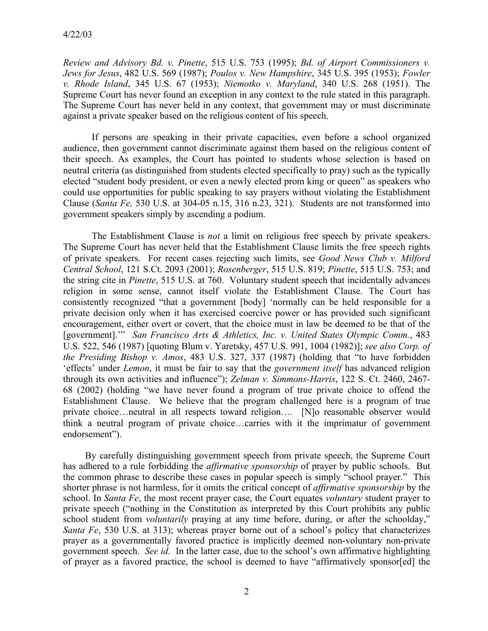*Review and Advisory Bd. v. Pinette*, 515 U.S. 753 (1995); *Bd. of Airport Commissioners v. Jews for Jesus*, 482 U.S. 569 (1987); *Poulos v. New Hampshire*, 345 U.S. 395 (1953); *Fowler v. Rhode Island*, 345 U.S. 67 (1953); *Niemotko v. Maryland*, 340 U.S. 268 (1951). The Supreme Court has never found an exception in any context to the rule stated in this paragraph. The Supreme Court has never held in any context, that government may or must discriminate against a private speaker based on the religious content of his speech.

 If persons are speaking in their private capacities, even before a school organized audience, then government cannot discriminate against them based on the religious content of their speech. As examples, the Court has pointed to students whose selection is based on neutral criteria (as distinguished from students elected specifically to pray) such as the typically elected "student body president, or even a newly elected prom king or queen" as speakers who could use opportunities for public speaking to say prayers without violating the Establishment Clause (*Santa Fe,* 530 U.S. at 304-05 n.15, 316 n.23, 321). Students are not transformed into government speakers simply by ascending a podium.

 The Establishment Clause is *not* a limit on religious free speech by private speakers. The Supreme Court has never held that the Establishment Clause limits the free speech rights of private speakers. For recent cases rejecting such limits, see *Good News Club v. Milford Central School*, 121 S.Ct. 2093 (2001); *Rosenberger*, 515 U.S. 819; *Pinette*, 515 U.S. 753; and the string cite in *Pinette*, 515 U.S. at 760. Voluntary student speech that incidentally advances religion in some sense, cannot itself violate the Establishment Clause. The Court has consistently recognized "that a government [body] 'normally can be held responsible for a private decision only when it has exercised coercive power or has provided such significant encouragement, either overt or covert, that the choice must in law be deemed to be that of the [government].'" *San Francisco Arts & Athletics, Inc. v. United States Olympic Comm.*, 483 U.S. 522, 546 (1987) [quoting Blum v. Yaretsky, 457 U.S. 991, 1004 (1982)]; *see also Corp. of the Presiding Bishop v. Amos*, 483 U.S. 327, 337 (1987) (holding that "to have forbidden 'effects' under *Lemon*, it must be fair to say that the *government itself* has advanced religion through its own activities and influence"); *Zelman v. Simmons-Harris*, 122 S. Ct. 2460, 2467- 68 (2002) (holding "we have never found a program of true private choice to offend the Establishment Clause. We believe that the program challenged here is a program of true private choice…neutral in all respects toward religion…. [N]o reasonable observer would think a neutral program of private choice…carries with it the imprimatur of government endorsement").

 By carefully distinguishing government speech from private speech, the Supreme Court has adhered to a rule forbidding the *affirmative sponsorship* of prayer by public schools. But the common phrase to describe these cases in popular speech is simply "school prayer." This shorter phrase is not harmless, for it omits the critical concept of *affirmative sponsorship* by the school. In *Santa Fe*, the most recent prayer case, the Court equates *voluntary* student prayer to private speech ("nothing in the Constitution as interpreted by this Court prohibits any public school student from *voluntarily* praying at any time before, during, or after the schoolday," *Santa Fe*, 530 U.S. at 313); whereas prayer borne out of a school's policy that characterizes prayer as a governmentally favored practice is implicitly deemed non-voluntary non-private government speech. *See id.* In the latter case, due to the school's own affirmative highlighting of prayer as a favored practice, the school is deemed to have "affirmatively sponsor[ed] the